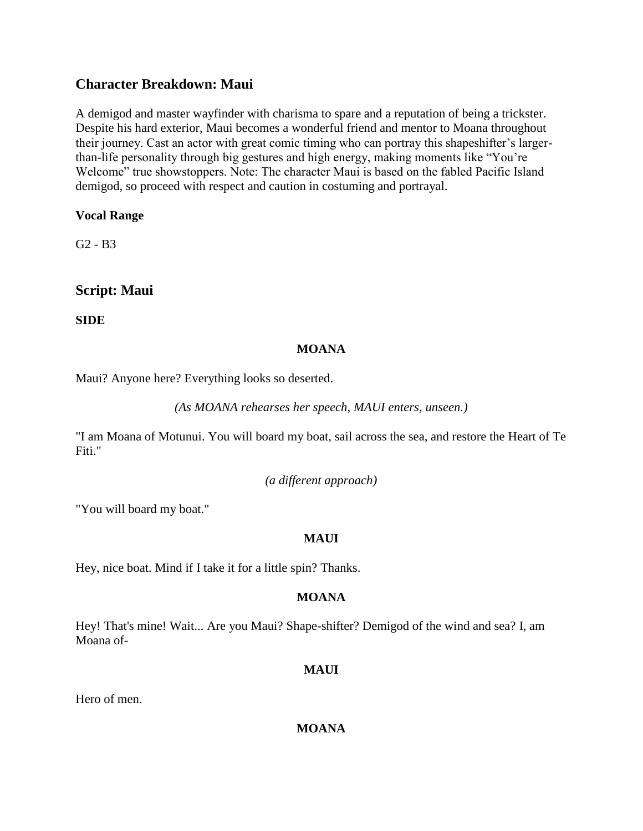# **Character Breakdown: Maui**

A demigod and master wayfinder with charisma to spare and a reputation of being a trickster. Despite his hard exterior, Maui becomes a wonderful friend and mentor to Moana throughout their journey. Cast an actor with great comic timing who can portray this shapeshifter's largerthan-life personality through big gestures and high energy, making moments like "You're Welcome" true showstoppers. Note: The character Maui is based on the fabled Pacific Island demigod, so proceed with respect and caution in costuming and portrayal.

## **Vocal Range**

G2 - B3

**Script: Maui**

**SIDE**

# **MOANA**

Maui? Anyone here? Everything looks so deserted.

*(As MOANA rehearses her speech, MAUI enters, unseen.)*

"I am Moana of Motunui. You will board my boat, sail across the sea, and restore the Heart of Te Fiti."

*(a different approach)*

"You will board my boat."

# **MAUI**

Hey, nice boat. Mind if I take it for a little spin? Thanks.

# **MOANA**

Hey! That's mine! Wait... Are you Maui? Shape-shifter? Demigod of the wind and sea? I, am Moana of-

# **MAUI**

Hero of men.

# **MOANA**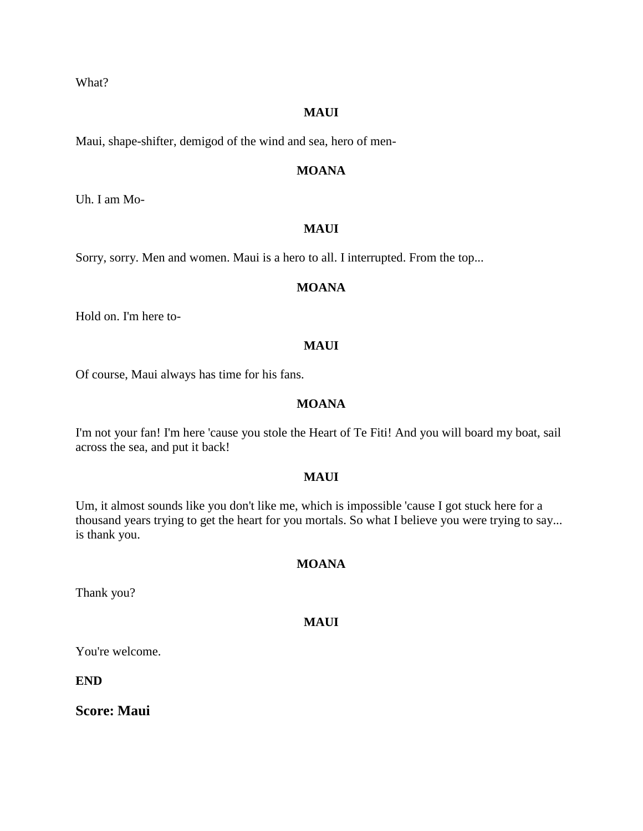What?

## **MAUI**

Maui, shape-shifter, demigod of the wind and sea, hero of men-

## **MOANA**

Uh. I am Mo-

#### **MAUI**

Sorry, sorry. Men and women. Maui is a hero to all. I interrupted. From the top...

## **MOANA**

Hold on. I'm here to*-*

#### **MAUI**

Of course, Maui always has time for his fans.

## **MOANA**

I'm not your fan! I'm here 'cause you stole the Heart of Te Fiti! And you will board my boat, sail across the sea, and put it back!

#### **MAUI**

Um, it almost sounds like you don't like me, which is impossible 'cause I got stuck here for a thousand years trying to get the heart for you mortals. So what I believe you were trying to say... is thank you.

## **MOANA**

Thank you?

#### **MAUI**

You're welcome.

**END**

**Score: Maui**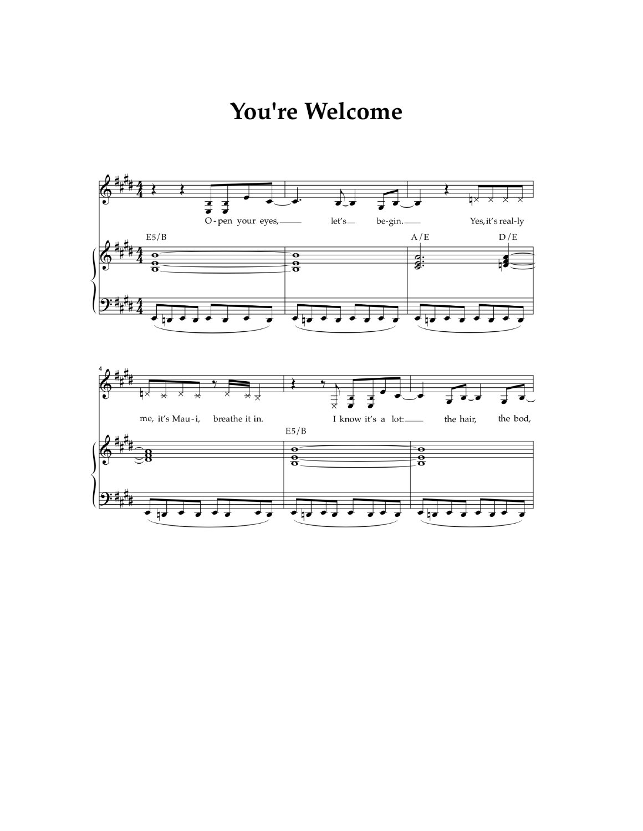# You're Welcome

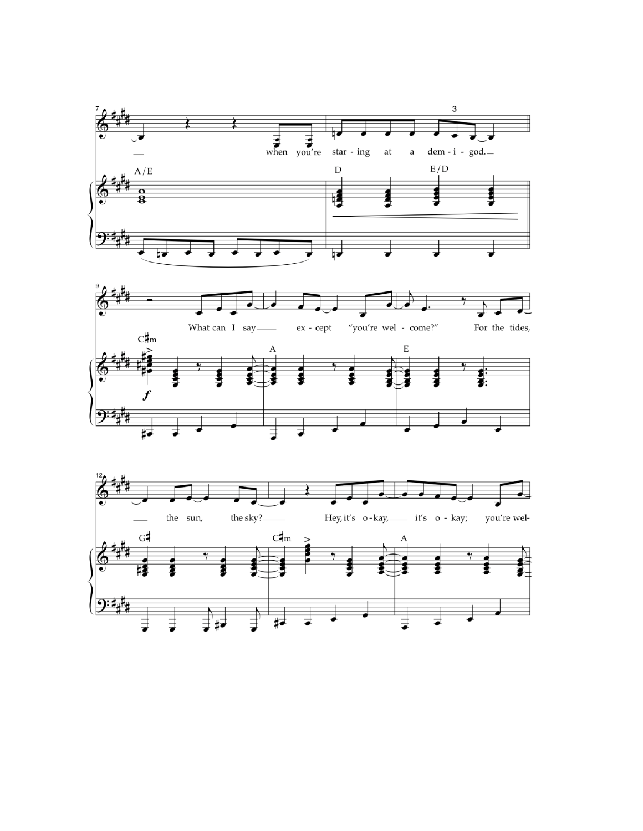